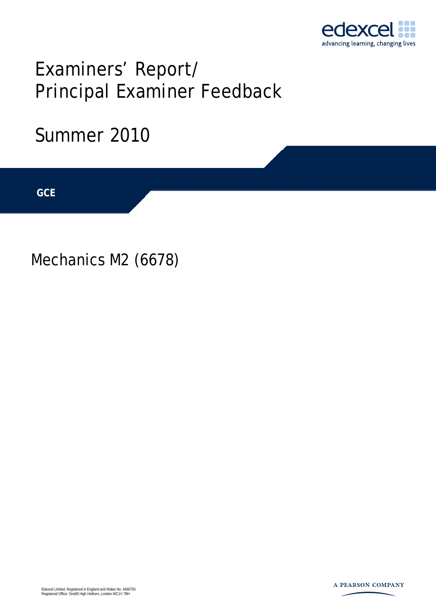

# Examiners' Report/ Principal Examiner Feedback

## Summer 2010

**IGCSE GCE** 

Mechanics M2 (6678)

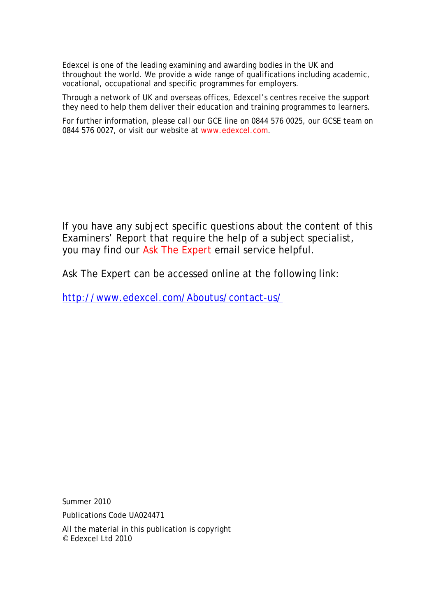Edexcel is one of the leading examining and awarding bodies in the UK and throughout the world. We provide a wide range of qualifications including academic, vocational, occupational and specific programmes for employers.

Through a network of UK and overseas offices, Edexcel's centres receive the support they need to help them deliver their education and training programmes to learners.

For further information, please call our GCE line on 0844 576 0025, our GCSE team on 0844 576 0027, or visit our website at www.edexcel.com.

If you have any subject specific questions about the content of this Examiners' Report that require the help of a subject specialist, you may find our Ask The Expert email service helpful.

Ask The Expert can be accessed online at the following link:

http://www.edexcel.com/Aboutus/contact-us/

Summer 2010

Publications Code UA024471

All the material in this publication is copyright © Edexcel Ltd 2010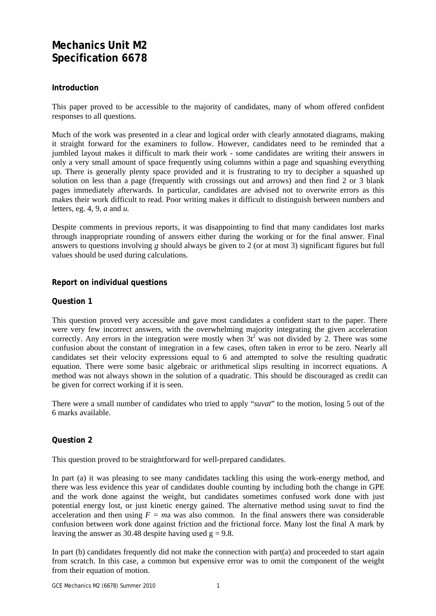### **Mechanics Unit M2 Specification 6678**

#### **Introduction**

This paper proved to be accessible to the majority of candidates, many of whom offered confident responses to all questions.

Much of the work was presented in a clear and logical order with clearly annotated diagrams, making it straight forward for the examiners to follow. However, candidates need to be reminded that a jumbled layout makes it difficult to mark their work - some candidates are writing their answers in only a very small amount of space frequently using columns within a page and squashing everything up. There is generally plenty space provided and it is frustrating to try to decipher a squashed up solution on less than a page (frequently with crossings out and arrows) and then find 2 or 3 blank pages immediately afterwards. In particular, candidates are advised not to overwrite errors as this makes their work difficult to read. Poor writing makes it difficult to distinguish between numbers and letters, eg. 4, 9, *a* and *u.*

Despite comments in previous reports, it was disappointing to find that many candidates lost marks through inappropriate rounding of answers either during the working or for the final answer. Final answers to questions involving *g* should always be given to 2 (or at most 3) significant figures but full values should be used during calculations.

#### **Report on individual questions**

#### **Question 1**

This question proved very accessible and gave most candidates a confident start to the paper. There were very few incorrect answers, with the overwhelming majority integrating the given acceleration correctly. Any errors in the integration were mostly when  $3t^2$  was not divided by 2. There was some confusion about the constant of integration in a few cases, often taken in error to be zero. Nearly all candidates set their velocity expressions equal to 6 and attempted to solve the resulting quadratic equation. There were some basic algebraic or arithmetical slips resulting in incorrect equations. A method was not always shown in the solution of a quadratic. This should be discouraged as credit can be given for correct working if it is seen.

There were a small number of candidates who tried to apply "*suvat*" to the motion, losing 5 out of the 6 marks available.

#### **Question 2**

This question proved to be straightforward for well-prepared candidates.

In part (a) it was pleasing to see many candidates tackling this using the work-energy method, and there was less evidence this year of candidates double counting by including both the change in GPE and the work done against the weight, but candidates sometimes confused work done with just potential energy lost, or just kinetic energy gained. The alternative method using *suvat* to find the acceleration and then using  $F = ma$  was also common. In the final answers there was considerable confusion between work done against friction and the frictional force. Many lost the final A mark by leaving the answer as 30.48 despite having used  $g = 9.8$ .

In part (b) candidates frequently did not make the connection with part $(a)$  and proceeded to start again from scratch. In this case, a common but expensive error was to omit the component of the weight from their equation of motion.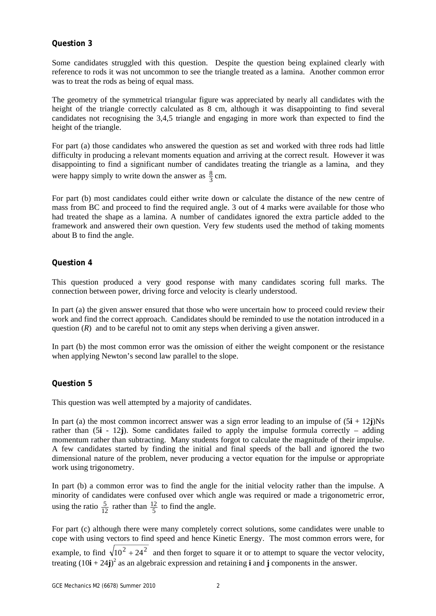#### **Question 3**

Some candidates struggled with this question. Despite the question being explained clearly with reference to rods it was not uncommon to see the triangle treated as a lamina. Another common error was to treat the rods as being of equal mass.

The geometry of the symmetrical triangular figure was appreciated by nearly all candidates with the height of the triangle correctly calculated as 8 cm, although it was disappointing to find several candidates not recognising the 3,4,5 triangle and engaging in more work than expected to find the height of the triangle.

For part (a) those candidates who answered the question as set and worked with three rods had little difficulty in producing a relevant moments equation and arriving at the correct result. However it was disappointing to find a significant number of candidates treating the triangle as a lamina, and they were happy simply to write down the answer as  $\frac{8}{3}$  cm.

For part (b) most candidates could either write down or calculate the distance of the new centre of mass from BC and proceed to find the required angle. 3 out of 4 marks were available for those who had treated the shape as a lamina. A number of candidates ignored the extra particle added to the framework and answered their own question. Very few students used the method of taking moments about B to find the angle.

#### **Question 4**

This question produced a very good response with many candidates scoring full marks. The connection between power, driving force and velocity is clearly understood.

In part (a) the given answer ensured that those who were uncertain how to proceed could review their work and find the correct approach. Candidates should be reminded to use the notation introduced in a question (*R*) and to be careful not to omit any steps when deriving a given answer.

In part (b) the most common error was the omission of either the weight component or the resistance when applying Newton's second law parallel to the slope.

#### **Question 5**

This question was well attempted by a majority of candidates.

In part (a) the most common incorrect answer was a sign error leading to an impulse of  $(5\mathbf{i} + 12\mathbf{j})$ Ns rather than (5**i** - 12**j**). Some candidates failed to apply the impulse formula correctly – adding momentum rather than subtracting. Many students forgot to calculate the magnitude of their impulse. A few candidates started by finding the initial and final speeds of the ball and ignored the two dimensional nature of the problem, never producing a vector equation for the impulse or appropriate work using trigonometry.

In part (b) a common error was to find the angle for the initial velocity rather than the impulse. A minority of candidates were confused over which angle was required or made a trigonometric error, using the ratio  $\frac{5}{12}$  rather than  $\frac{12}{5}$  to find the angle.

For part (c) although there were many completely correct solutions, some candidates were unable to cope with using vectors to find speed and hence Kinetic Energy. The most common errors were, for example, to find  $\sqrt{10^2 + 24^2}$  and then forget to square it or to attempt to square the vector velocity, treating  $(10\mathbf{i} + 24\mathbf{j})^2$  as an algebraic expression and retaining **i** and **j** components in the answer.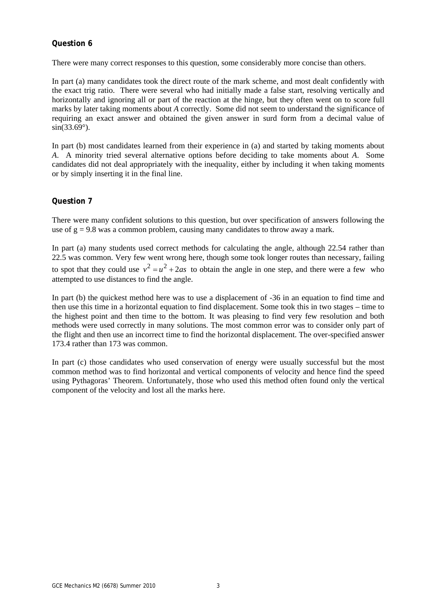#### **Question 6**

There were many correct responses to this question, some considerably more concise than others.

In part (a) many candidates took the direct route of the mark scheme, and most dealt confidently with the exact trig ratio. There were several who had initially made a false start, resolving vertically and horizontally and ignoring all or part of the reaction at the hinge, but they often went on to score full marks by later taking moments about *A* correctly. Some did not seem to understand the significance of requiring an exact answer and obtained the given answer in surd form from a decimal value of  $sin(33.69^{\circ})$ .

In part (b) most candidates learned from their experience in (a) and started by taking moments about *A*. A minority tried several alternative options before deciding to take moments about *A*. Some candidates did not deal appropriately with the inequality, either by including it when taking moments or by simply inserting it in the final line.

#### **Question 7**

There were many confident solutions to this question, but over specification of answers following the use of  $g = 9.8$  was a common problem, causing many candidates to throw away a mark.

In part (a) many students used correct methods for calculating the angle, although 22.54 rather than 22.5 was common. Very few went wrong here, though some took longer routes than necessary, failing to spot that they could use  $v^2 = u^2 + 2as$  to obtain the angle in one step, and there were a few who attempted to use distances to find the angle.

In part (b) the quickest method here was to use a displacement of -36 in an equation to find time and then use this time in a horizontal equation to find displacement. Some took this in two stages – time to the highest point and then time to the bottom. It was pleasing to find very few resolution and both methods were used correctly in many solutions. The most common error was to consider only part of the flight and then use an incorrect time to find the horizontal displacement. The over-specified answer 173.4 rather than 173 was common.

In part (c) those candidates who used conservation of energy were usually successful but the most common method was to find horizontal and vertical components of velocity and hence find the speed using Pythagoras' Theorem. Unfortunately, those who used this method often found only the vertical component of the velocity and lost all the marks here.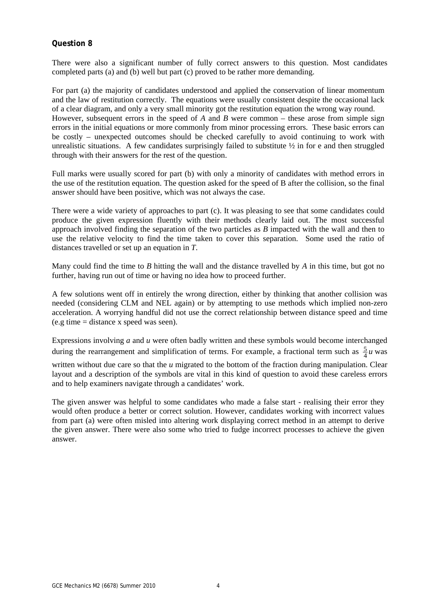#### **Question 8**

There were also a significant number of fully correct answers to this question. Most candidates completed parts (a) and (b) well but part (c) proved to be rather more demanding.

For part (a) the majority of candidates understood and applied the conservation of linear momentum and the law of restitution correctly. The equations were usually consistent despite the occasional lack of a clear diagram, and only a very small minority got the restitution equation the wrong way round. However, subsequent errors in the speed of *A* and *B* were common – these arose from simple sign errors in the initial equations or more commonly from minor processing errors. These basic errors can be costly – unexpected outcomes should be checked carefully to avoid continuing to work with unrealistic situations. A few candidates surprisingly failed to substitute  $\frac{1}{2}$  in for e and then struggled through with their answers for the rest of the question.

Full marks were usually scored for part (b) with only a minority of candidates with method errors in the use of the restitution equation. The question asked for the speed of B after the collision, so the final answer should have been positive, which was not always the case.

There were a wide variety of approaches to part (c). It was pleasing to see that some candidates could produce the given expression fluently with their methods clearly laid out. The most successful approach involved finding the separation of the two particles as *B* impacted with the wall and then to use the relative velocity to find the time taken to cover this separation. Some used the ratio of distances travelled or set up an equation in *T*.

Many could find the time to *B* hitting the wall and the distance travelled by *A* in this time, but got no further, having run out of time or having no idea how to proceed further.

A few solutions went off in entirely the wrong direction, either by thinking that another collision was needed (considering CLM and NEL again) or by attempting to use methods which implied non-zero acceleration. A worrying handful did not use the correct relationship between distance speed and time (e.g time = distance x speed was seen).

Expressions involving *a* and *u* were often badly written and these symbols would become interchanged during the rearrangement and simplification of terms. For example, a fractional term such as  $\frac{5}{4}u$  was

written without due care so that the *u* migrated to the bottom of the fraction during manipulation. Clear layout and a description of the symbols are vital in this kind of question to avoid these careless errors and to help examiners navigate through a candidates' work.

The given answer was helpful to some candidates who made a false start - realising their error they would often produce a better or correct solution. However, candidates working with incorrect values from part (a) were often misled into altering work displaying correct method in an attempt to derive the given answer. There were also some who tried to fudge incorrect processes to achieve the given answer.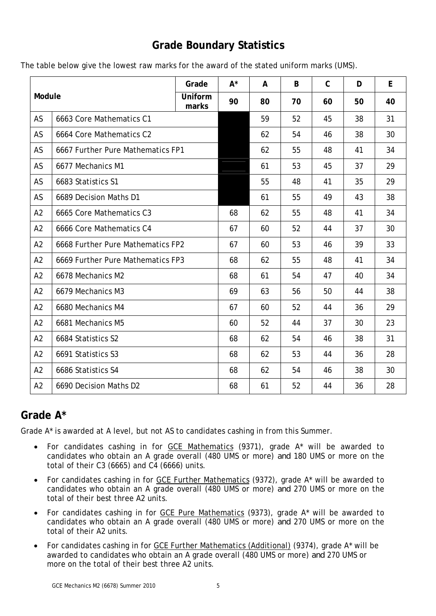## **Grade Boundary Statistics**

|  |  | The table below give the lowest raw marks for the award of the stated uniform marks (UMS). |
|--|--|--------------------------------------------------------------------------------------------|
|--|--|--------------------------------------------------------------------------------------------|

| Module         |                                   | Grade            | $A^*$ | A  | B  | $\mathsf C$ | D  | E  |
|----------------|-----------------------------------|------------------|-------|----|----|-------------|----|----|
|                |                                   | Uniform<br>marks | 90    | 80 | 70 | 60          | 50 | 40 |
| AS             | 6663 Core Mathematics C1          |                  |       | 59 | 52 | 45          | 38 | 31 |
| AS             | 6664 Core Mathematics C2          |                  |       | 62 | 54 | 46          | 38 | 30 |
| AS             | 6667 Further Pure Mathematics FP1 |                  |       | 62 | 55 | 48          | 41 | 34 |
| AS             | 6677 Mechanics M1                 |                  |       | 61 | 53 | 45          | 37 | 29 |
| AS             | 6683 Statistics S1                |                  |       | 55 | 48 | 41          | 35 | 29 |
| AS             | 6689 Decision Maths D1            |                  |       | 61 | 55 | 49          | 43 | 38 |
| A2             | 6665 Core Mathematics C3          |                  | 68    | 62 | 55 | 48          | 41 | 34 |
| A2             | 6666 Core Mathematics C4          |                  | 67    | 60 | 52 | 44          | 37 | 30 |
| A2             | 6668 Further Pure Mathematics FP2 |                  | 67    | 60 | 53 | 46          | 39 | 33 |
| A2             | 6669 Further Pure Mathematics FP3 |                  | 68    | 62 | 55 | 48          | 41 | 34 |
| A2             | 6678 Mechanics M2                 |                  | 68    | 61 | 54 | 47          | 40 | 34 |
| A2             | 6679 Mechanics M3                 |                  | 69    | 63 | 56 | 50          | 44 | 38 |
| A2             | 6680 Mechanics M4                 |                  | 67    | 60 | 52 | 44          | 36 | 29 |
| A2             | 6681 Mechanics M5                 |                  | 60    | 52 | 44 | 37          | 30 | 23 |
| A2             | 6684 Statistics S2                |                  | 68    | 62 | 54 | 46          | 38 | 31 |
| A2             | 6691 Statistics S3                |                  | 68    | 62 | 53 | 44          | 36 | 28 |
| A <sub>2</sub> | 6686 Statistics S4                |                  | 68    | 62 | 54 | 46          | 38 | 30 |
| A2             | 6690 Decision Maths D2            |                  | 68    | 61 | 52 | 44          | 36 | 28 |

## **Grade A\***

Grade A\* is awarded at A level, but not AS to candidates cashing in from this Summer.

- For candidates cashing in for GCE Mathematics (9371), grade A\* will be awarded to candidates who obtain an A grade overall (480 UMS or more) *and* 180 UMS or more on the total of their C3 (6665) and C4 (6666) units.
- For candidates cashing in for GCE Further Mathematics (9372), grade A\* will be awarded to candidates who obtain an A grade overall (480 UMS or more) *and* 270 UMS or more on the total of their best three A2 units.
- For candidates cashing in for GCE Pure Mathematics (9373), grade A\* will be awarded to candidates who obtain an A grade overall (480 UMS or more) *and* 270 UMS or more on the total of their A2 units.
- For candidates cashing in for GCE Further Mathematics (Additional) (9374), grade A\* will be awarded to candidates who obtain an A grade overall (480 UMS or more) *and* 270 UMS or more on the total of their best three A2 units.